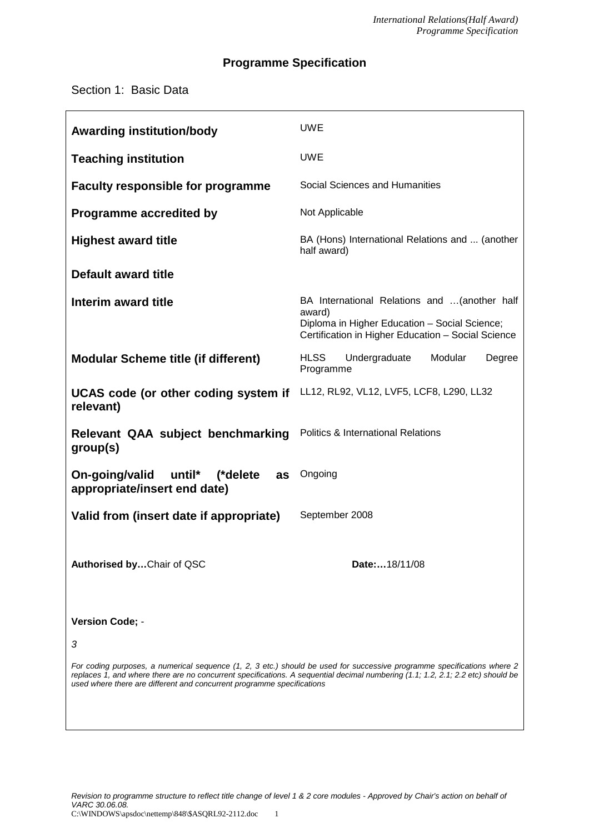# **Programme Specification**

# Section 1: Basic Data

| <b>Awarding institution/body</b>                                                                                                                                                                                                                                                                                                     | <b>UWE</b>                                                                                                                                                     |  |  |
|--------------------------------------------------------------------------------------------------------------------------------------------------------------------------------------------------------------------------------------------------------------------------------------------------------------------------------------|----------------------------------------------------------------------------------------------------------------------------------------------------------------|--|--|
| <b>Teaching institution</b>                                                                                                                                                                                                                                                                                                          | <b>UWE</b>                                                                                                                                                     |  |  |
| <b>Faculty responsible for programme</b>                                                                                                                                                                                                                                                                                             | Social Sciences and Humanities                                                                                                                                 |  |  |
| <b>Programme accredited by</b>                                                                                                                                                                                                                                                                                                       | Not Applicable                                                                                                                                                 |  |  |
| <b>Highest award title</b>                                                                                                                                                                                                                                                                                                           | BA (Hons) International Relations and  (another<br>half award)                                                                                                 |  |  |
| Default award title                                                                                                                                                                                                                                                                                                                  |                                                                                                                                                                |  |  |
| Interim award title                                                                                                                                                                                                                                                                                                                  | BA International Relations and  (another half<br>award)<br>Diploma in Higher Education - Social Science;<br>Certification in Higher Education - Social Science |  |  |
| <b>Modular Scheme title (if different)</b>                                                                                                                                                                                                                                                                                           | <b>HLSS</b><br>Undergraduate<br>Modular<br>Degree<br>Programme                                                                                                 |  |  |
| UCAS code (or other coding system if<br>relevant)                                                                                                                                                                                                                                                                                    | LL12, RL92, VL12, LVF5, LCF8, L290, LL32                                                                                                                       |  |  |
| Relevant QAA subject benchmarking<br>group(s)                                                                                                                                                                                                                                                                                        | <b>Politics &amp; International Relations</b>                                                                                                                  |  |  |
| On-going/valid<br>until* (*delete<br>as<br>appropriate/insert end date)                                                                                                                                                                                                                                                              | Ongoing                                                                                                                                                        |  |  |
| Valid from (insert date if appropriate)                                                                                                                                                                                                                                                                                              | September 2008                                                                                                                                                 |  |  |
| Authorised byChair of QSC                                                                                                                                                                                                                                                                                                            | Date:18/11/08                                                                                                                                                  |  |  |
| Version Code; -                                                                                                                                                                                                                                                                                                                      |                                                                                                                                                                |  |  |
| 3                                                                                                                                                                                                                                                                                                                                    |                                                                                                                                                                |  |  |
| For coding purposes, a numerical sequence (1, 2, 3 etc.) should be used for successive programme specifications where 2<br>replaces 1, and where there are no concurrent specifications. A sequential decimal numbering (1.1; 1.2, 2.1; 2.2 etc) should be<br>used where there are different and concurrent programme specifications |                                                                                                                                                                |  |  |
|                                                                                                                                                                                                                                                                                                                                      |                                                                                                                                                                |  |  |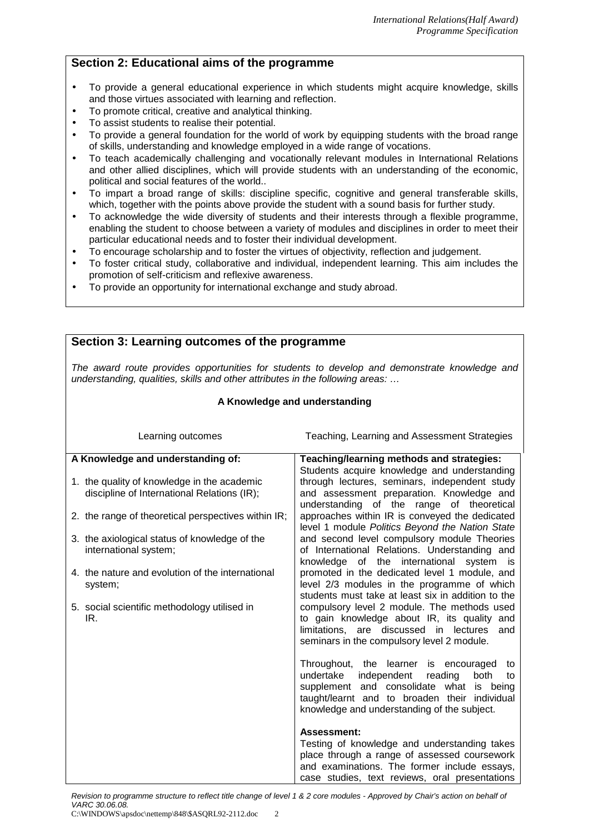# **Section 2: Educational aims of the programme**

- To provide a general educational experience in which students might acquire knowledge, skills and those virtues associated with learning and reflection.
- To promote critical, creative and analytical thinking.
- To assist students to realise their potential.
- To provide a general foundation for the world of work by equipping students with the broad range of skills, understanding and knowledge employed in a wide range of vocations.
- To teach academically challenging and vocationally relevant modules in International Relations and other allied disciplines, which will provide students with an understanding of the economic, political and social features of the world..
- To impart a broad range of skills: discipline specific, cognitive and general transferable skills, which, together with the points above provide the student with a sound basis for further study.
- To acknowledge the wide diversity of students and their interests through a flexible programme, enabling the student to choose between a variety of modules and disciplines in order to meet their particular educational needs and to foster their individual development.
- To encourage scholarship and to foster the virtues of objectivity, reflection and judgement.
- To foster critical study, collaborative and individual, independent learning. This aim includes the promotion of self-criticism and reflexive awareness.
- To provide an opportunity for international exchange and study abroad.

#### **Section 3: Learning outcomes of the programme** The award route provides opportunities for students to develop and demonstrate knowledge and understanding, qualities, skills and other attributes in the following areas: ... **A Knowledge and understanding** Learning outcomes Teaching, Learning and Assessment Strategies **A Knowledge and understanding of:** 1. the quality of knowledge in the academic discipline of International Relations (IR); 2. the range of theoretical perspectives within IR; 3. the axiological status of knowledge of the international system; 4. the nature and evolution of the international system; 5. social scientific methodology utilised in IR. **Teaching/learning methods and strategies:** Students acquire knowledge and understanding through lectures, seminars, independent study and assessment preparation. Knowledge and understanding of the range of theoretical approaches within IR is conveyed the dedicated level 1 module Politics Beyond the Nation State and second level compulsory module Theories of International Relations. Understanding and knowledge of the international system is promoted in the dedicated level 1 module, and level 2/3 modules in the programme of which students must take at least six in addition to the compulsory level 2 module. The methods used to gain knowledge about IR, its quality and limitations, are discussed in lectures and seminars in the compulsory level 2 module. Throughout, the learner is encouraged to undertake independent reading both to supplement and consolidate what is being taught/learnt and to broaden their individual knowledge and understanding of the subject. **Assessment:** Testing of knowledge and understanding takes place through a range of assessed coursework and examinations. The former include essays, case studies, text reviews, oral presentations

Revision to programme structure to reflect title change of level 1 & 2 core modules - Approved by Chair's action on behalf of VARC 30.06.08.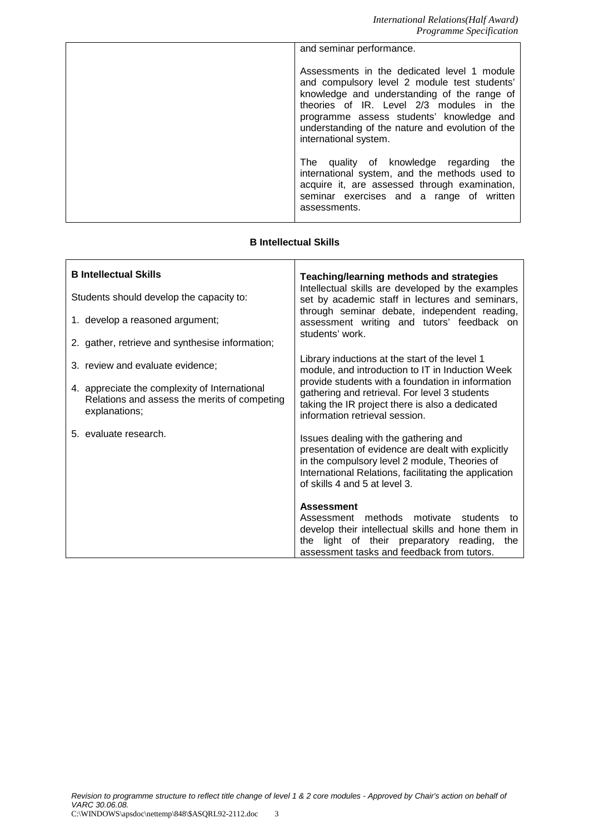| and seminar performance.                                                                                                                                                                                                                                                                                        |
|-----------------------------------------------------------------------------------------------------------------------------------------------------------------------------------------------------------------------------------------------------------------------------------------------------------------|
| Assessments in the dedicated level 1 module<br>and compulsory level 2 module test students'<br>knowledge and understanding of the range of<br>theories of IR. Level 2/3 modules in the<br>programme assess students' knowledge and<br>understanding of the nature and evolution of the<br>international system. |
| The quality of knowledge regarding<br>the<br>international system, and the methods used to<br>acquire it, are assessed through examination,<br>seminar exercises and a range of written<br>assessments.                                                                                                         |

# **B Intellectual Skills**

| <b>B</b> Intellectual Skills                                                                                   | <b>Teaching/learning methods and strategies</b><br>Intellectual skills are developed by the examples<br>set by academic staff in lectures and seminars,<br>through seminar debate, independent reading,<br>assessment writing and tutors' feedback on                                         |  |  |
|----------------------------------------------------------------------------------------------------------------|-----------------------------------------------------------------------------------------------------------------------------------------------------------------------------------------------------------------------------------------------------------------------------------------------|--|--|
| Students should develop the capacity to:                                                                       |                                                                                                                                                                                                                                                                                               |  |  |
| 1. develop a reasoned argument;                                                                                |                                                                                                                                                                                                                                                                                               |  |  |
| 2. gather, retrieve and synthesise information;                                                                | students' work.                                                                                                                                                                                                                                                                               |  |  |
| 3. review and evaluate evidence;                                                                               | Library inductions at the start of the level 1<br>module, and introduction to IT in Induction Week<br>provide students with a foundation in information<br>gathering and retrieval. For level 3 students<br>taking the IR project there is also a dedicated<br>information retrieval session. |  |  |
| 4. appreciate the complexity of International<br>Relations and assess the merits of competing<br>explanations; |                                                                                                                                                                                                                                                                                               |  |  |
| 5. evaluate research.                                                                                          | Issues dealing with the gathering and<br>presentation of evidence are dealt with explicitly<br>in the compulsory level 2 module, Theories of<br>International Relations, facilitating the application<br>of skills 4 and 5 at level 3.                                                        |  |  |
|                                                                                                                | <b>Assessment</b><br>methods motivate students<br>Assessment<br>to<br>develop their intellectual skills and hone them in<br>the light of their preparatory reading,<br>the<br>assessment tasks and feedback from tutors.                                                                      |  |  |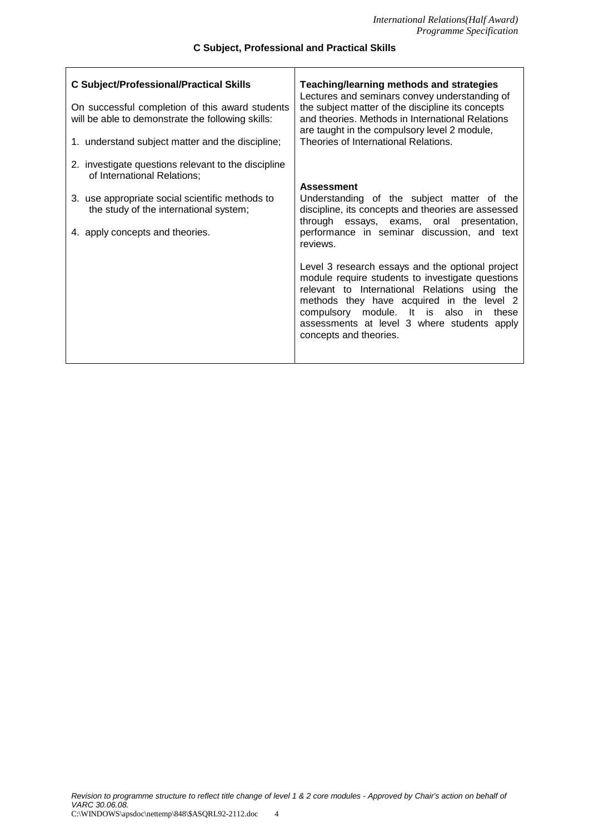### **C Subject, Professional and Practical Skills**

 $\overline{1}$ 

| <b>C Subject/Professional/Practical Skills</b><br>On successful completion of this award students<br>will be able to demonstrate the following skills:<br>1. understand subject matter and the discipline;         | <b>Teaching/learning methods and strategies</b><br>Lectures and seminars convey understanding of<br>the subject matter of the discipline its concepts<br>and theories. Methods in International Relations<br>are taught in the compulsory level 2 module,<br>Theories of International Relations.                                                                                                                                                                             |
|--------------------------------------------------------------------------------------------------------------------------------------------------------------------------------------------------------------------|-------------------------------------------------------------------------------------------------------------------------------------------------------------------------------------------------------------------------------------------------------------------------------------------------------------------------------------------------------------------------------------------------------------------------------------------------------------------------------|
| 2. investigate questions relevant to the discipline<br>of International Relations;<br>3. use appropriate social scientific methods to<br>the study of the international system;<br>4. apply concepts and theories. | <b>Assessment</b><br>Understanding of the subject matter of the<br>discipline, its concepts and theories are assessed<br>through essays, exams, oral presentation,<br>performance in seminar discussion, and text<br>reviews.<br>Level 3 research essays and the optional project<br>module require students to investigate questions<br>relevant to International Relations using the<br>methods they have acquired in the level 2<br>compulsory module. It is also in these |
|                                                                                                                                                                                                                    | assessments at level 3 where students apply<br>concepts and theories.                                                                                                                                                                                                                                                                                                                                                                                                         |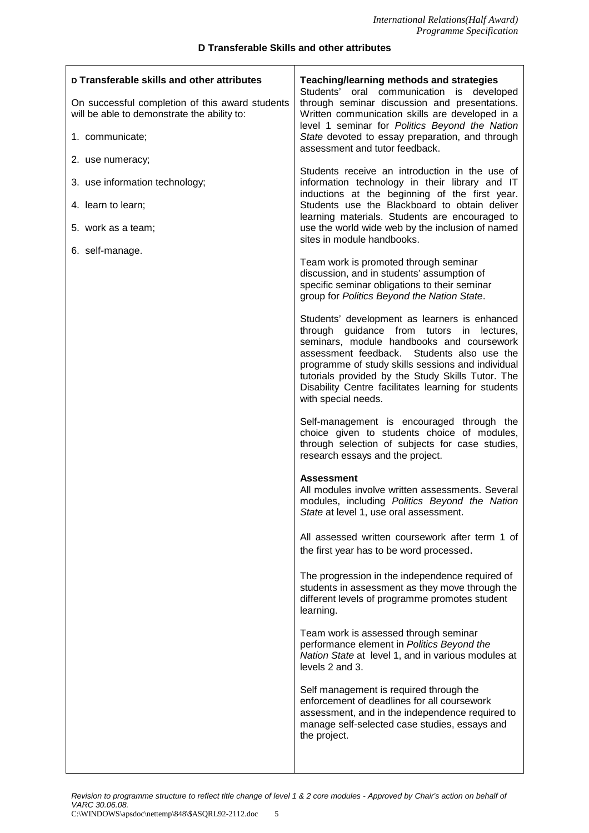#### **D Transferable Skills and other attributes**

 $\overline{1}$ 

| D Transferable skills and other attributes<br>On successful completion of this award students<br>will be able to demonstrate the ability to: | Teaching/learning methods and strategies<br>Students' oral communication is developed<br>through seminar discussion and presentations.<br>Written communication skills are developed in a<br>level 1 seminar for Politics Beyond the Nation                                                                                                                                      |
|----------------------------------------------------------------------------------------------------------------------------------------------|----------------------------------------------------------------------------------------------------------------------------------------------------------------------------------------------------------------------------------------------------------------------------------------------------------------------------------------------------------------------------------|
| 1. communicate;                                                                                                                              | State devoted to essay preparation, and through<br>assessment and tutor feedback.                                                                                                                                                                                                                                                                                                |
| 2. use numeracy;<br>3. use information technology;                                                                                           | Students receive an introduction in the use of<br>information technology in their library and IT                                                                                                                                                                                                                                                                                 |
| 4. learn to learn;                                                                                                                           | inductions at the beginning of the first year.<br>Students use the Blackboard to obtain deliver                                                                                                                                                                                                                                                                                  |
| 5. work as a team;                                                                                                                           | learning materials. Students are encouraged to<br>use the world wide web by the inclusion of named                                                                                                                                                                                                                                                                               |
| 6. self-manage.                                                                                                                              | sites in module handbooks.                                                                                                                                                                                                                                                                                                                                                       |
|                                                                                                                                              | Team work is promoted through seminar<br>discussion, and in students' assumption of<br>specific seminar obligations to their seminar<br>group for Politics Beyond the Nation State.                                                                                                                                                                                              |
|                                                                                                                                              | Students' development as learners is enhanced<br>through guidance from tutors in lectures,<br>seminars, module handbooks and coursework<br>Students also use the<br>assessment feedback.<br>programme of study skills sessions and individual<br>tutorials provided by the Study Skills Tutor. The<br>Disability Centre facilitates learning for students<br>with special needs. |
|                                                                                                                                              | Self-management is encouraged through the<br>choice given to students choice of modules,<br>through selection of subjects for case studies,<br>research essays and the project.                                                                                                                                                                                                  |
|                                                                                                                                              | <b>Assessment</b><br>All modules involve written assessments. Several<br>modules, including Politics Beyond the Nation<br>State at level 1, use oral assessment.                                                                                                                                                                                                                 |
|                                                                                                                                              | All assessed written coursework after term 1 of<br>the first year has to be word processed.                                                                                                                                                                                                                                                                                      |
|                                                                                                                                              | The progression in the independence required of<br>students in assessment as they move through the<br>different levels of programme promotes student<br>learning.                                                                                                                                                                                                                |
|                                                                                                                                              | Team work is assessed through seminar<br>performance element in Politics Beyond the<br>Nation State at level 1, and in various modules at<br>levels 2 and 3.                                                                                                                                                                                                                     |
|                                                                                                                                              | Self management is required through the<br>enforcement of deadlines for all coursework<br>assessment, and in the independence required to<br>manage self-selected case studies, essays and<br>the project.                                                                                                                                                                       |
|                                                                                                                                              |                                                                                                                                                                                                                                                                                                                                                                                  |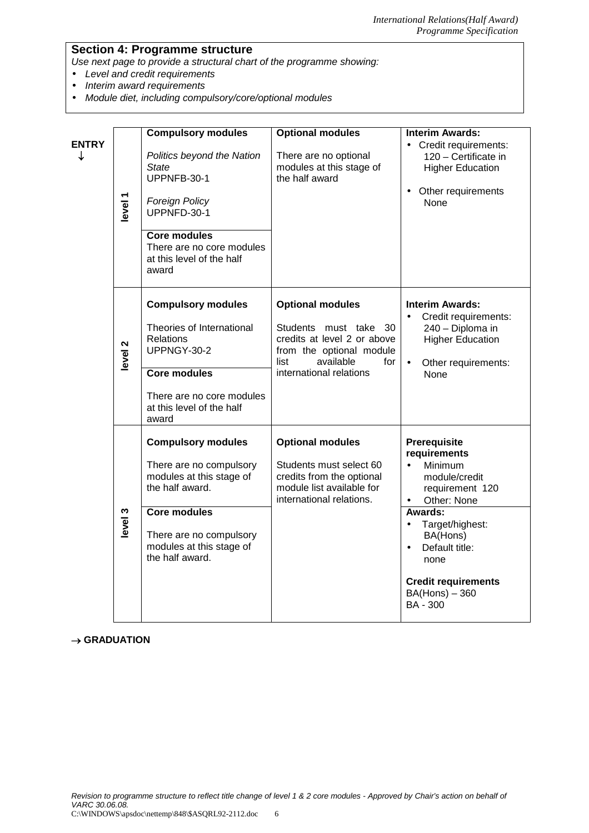# **Section 4: Programme structure**

Use next page to provide a structural chart of the programme showing:

- Level and credit requirements
- Interim award requirements<br>• Module diet. including comp
- Module diet, including compulsory/core/optional modules

| <b>ENTRY</b><br>↓ | level 1            | <b>Compulsory modules</b><br>Politics beyond the Nation<br><b>State</b><br>UPPNFB-30-1<br><b>Foreign Policy</b><br>UPPNFD-30-1<br><b>Core modules</b><br>There are no core modules<br>at this level of the half<br>award | <b>Optional modules</b><br>There are no optional<br>modules at this stage of<br>the half award                                                                     | <b>Interim Awards:</b><br>Credit requirements:<br>120 - Certificate in<br><b>Higher Education</b><br>Other requirements<br>$\bullet$<br><b>None</b>                                                                                                    |
|-------------------|--------------------|--------------------------------------------------------------------------------------------------------------------------------------------------------------------------------------------------------------------------|--------------------------------------------------------------------------------------------------------------------------------------------------------------------|--------------------------------------------------------------------------------------------------------------------------------------------------------------------------------------------------------------------------------------------------------|
|                   | level <sub>2</sub> | <b>Compulsory modules</b><br>Theories of International<br><b>Relations</b><br>UPPNGY-30-2<br><b>Core modules</b><br>There are no core modules<br>at this level of the half<br>award                                      | <b>Optional modules</b><br>Students must take 30<br>credits at level 2 or above<br>from the optional module<br>available<br>list<br>for<br>international relations | <b>Interim Awards:</b><br>Credit requirements:<br>240 - Diploma in<br><b>Higher Education</b><br>Other requirements:<br>$\bullet$<br>None                                                                                                              |
|                   | level 3            | <b>Compulsory modules</b><br>There are no compulsory<br>modules at this stage of<br>the half award.<br><b>Core modules</b><br>There are no compulsory<br>modules at this stage of<br>the half award.                     | <b>Optional modules</b><br>Students must select 60<br>credits from the optional<br>module list available for<br>international relations.                           | Prerequisite<br>requirements<br>$\bullet$<br>Minimum<br>module/credit<br>requirement 120<br>Other: None<br>Awards:<br>Target/highest:<br>BA(Hons)<br>Default title:<br>$\bullet$<br>none<br><b>Credit requirements</b><br>$BA(Hons) - 360$<br>BA - 300 |

### $\rightarrow$  GRADUATION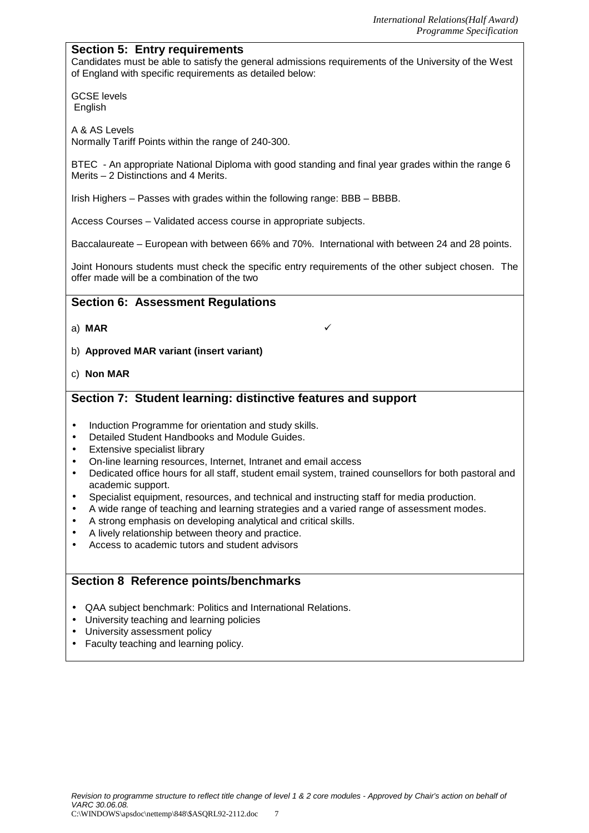# **Section 5: Entry requirements**

Candidates must be able to satisfy the general admissions requirements of the University of the West of England with specific requirements as detailed below:

GCSE levels **English** 

A & AS Levels Normally Tariff Points within the range of 240-300.

BTEC - An appropriate National Diploma with good standing and final year grades within the range 6 Merits – 2 Distinctions and 4 Merits.

Irish Highers – Passes with grades within the following range: BBB – BBBB.

Access Courses – Validated access course in appropriate subjects.

Baccalaureate – European with between 66% and 70%. International with between 24 and 28 points.

Joint Honours students must check the specific entry requirements of the other subject chosen. The offer made will be a combination of the two

# **Section 6: Assessment Regulations**

- a) **MAR**
- b) **Approved MAR variant (insert variant)**
- c) **Non MAR**

# **Section 7: Student learning: distinctive features and support**

- Induction Programme for orientation and study skills.
- Detailed Student Handbooks and Module Guides.
- Extensive specialist library
- On-line learning resources, Internet, Intranet and email access
- Dedicated office hours for all staff, student email system, trained counsellors for both pastoral and academic support.
- Specialist equipment, resources, and technical and instructing staff for media production.
- A wide range of teaching and learning strategies and a varied range of assessment modes.
- A strong emphasis on developing analytical and critical skills.
- A lively relationship between theory and practice.
- Access to academic tutors and student advisors

# **Section 8 Reference points/benchmarks**

- QAA subject benchmark: Politics and International Relations.
- University teaching and learning policies
- University assessment policy
- Faculty teaching and learning policy.